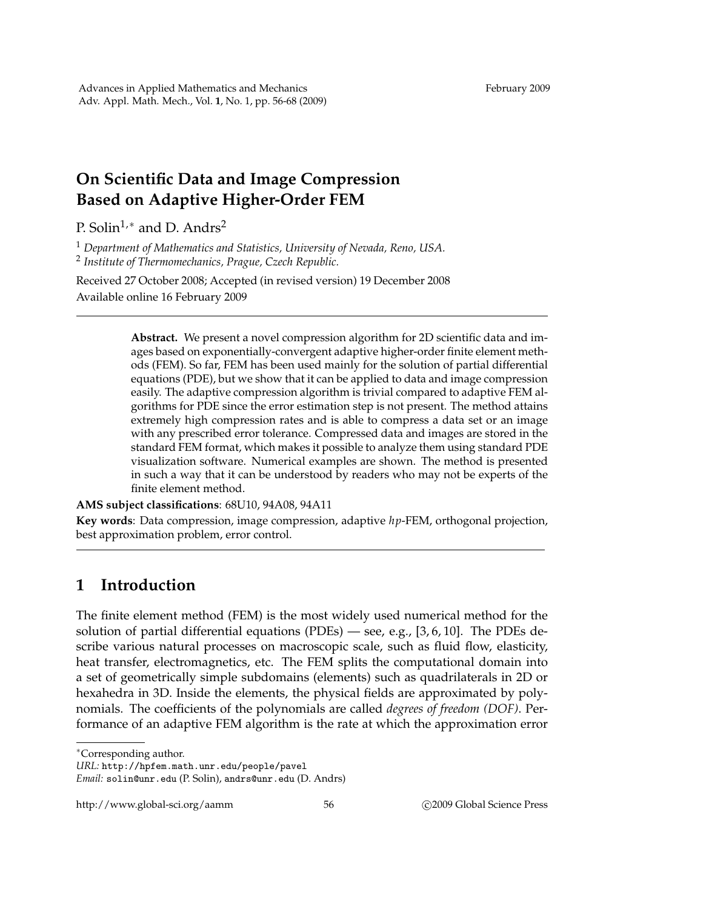## **On Scientific Data and Image Compression Based on Adaptive Higher-Order FEM**

P. Solin<sup>1,\*</sup> and D. Andrs<sup>2</sup>

<sup>1</sup> *Department of Mathematics and Statistics, University of Nevada, Reno, USA.* 2 *Institute of Thermomechanics, Prague, Czech Republic.*

Received 27 October 2008; Accepted (in revised version) 19 December 2008 Available online 16 February 2009

> **Abstract.** We present a novel compression algorithm for 2D scientific data and images based on exponentially-convergent adaptive higher-order finite element methods (FEM). So far, FEM has been used mainly for the solution of partial differential equations (PDE), but we show that it can be applied to data and image compression easily. The adaptive compression algorithm is trivial compared to adaptive FEM algorithms for PDE since the error estimation step is not present. The method attains extremely high compression rates and is able to compress a data set or an image with any prescribed error tolerance. Compressed data and images are stored in the standard FEM format, which makes it possible to analyze them using standard PDE visualization software. Numerical examples are shown. The method is presented in such a way that it can be understood by readers who may not be experts of the finite element method.

**AMS subject classifications**: 68U10, 94A08, 94A11

**Key words**: Data compression, image compression, adaptive *hp*-FEM, orthogonal projection, best approximation problem, error control.

## **1 Introduction**

The finite element method (FEM) is the most widely used numerical method for the solution of partial differential equations (PDEs) — see, e.g., [3, 6, 10]. The PDEs describe various natural processes on macroscopic scale, such as fluid flow, elasticity, heat transfer, electromagnetics, etc. The FEM splits the computational domain into a set of geometrically simple subdomains (elements) such as quadrilaterals in 2D or hexahedra in 3D. Inside the elements, the physical fields are approximated by polynomials. The coefficients of the polynomials are called *degrees of freedom (DOF)*. Performance of an adaptive FEM algorithm is the rate at which the approximation error

<sup>∗</sup>Corresponding author.

*URL:* http://hpfem.math.unr.edu/people/pavel

*Email:* solin@unr.edu (P. Solin), andrs@unr.edu (D. Andrs)

http://www.global-sci.org/aamm 56 c 2009 Global Science Press